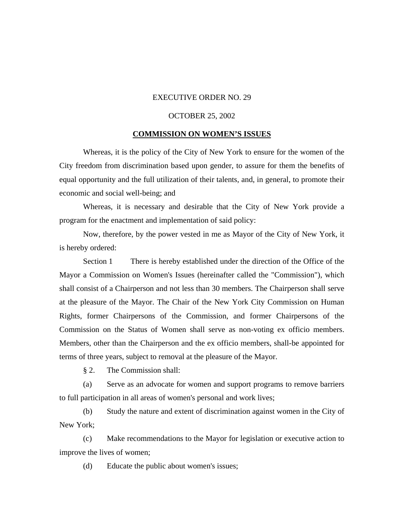## EXECUTIVE ORDER NO. 29

## OCTOBER 25, 2002

## **COMMISSION ON WOMEN'S ISSUES**

Whereas, it is the policy of the City of New York to ensure for the women of the City freedom from discrimination based upon gender, to assure for them the benefits of equal opportunity and the full utilization of their talents, and, in general, to promote their economic and social well-being; and

Whereas, it is necessary and desirable that the City of New York provide a program for the enactment and implementation of said policy:

Now, therefore, by the power vested in me as Mayor of the City of New York, it is hereby ordered:

Section 1 There is hereby established under the direction of the Office of the Mayor a Commission on Women's Issues (hereinafter called the "Commission"), which shall consist of a Chairperson and not less than 30 members. The Chairperson shall serve at the pleasure of the Mayor. The Chair of the New York City Commission on Human Rights, former Chairpersons of the Commission, and former Chairpersons of the Commission on the Status of Women shall serve as non-voting ex officio members. Members, other than the Chairperson and the ex officio members, shall-be appointed for terms of three years, subject to removal at the pleasure of the Mayor.

§ 2. The Commission shall:

(a) Serve as an advocate for women and support programs to remove barriers to full participation in all areas of women's personal and work lives;

(b) Study the nature and extent of discrimination against women in the City of New York;

(c) Make recommendations to the Mayor for legislation or executive action to improve the lives of women;

(d) Educate the public about women's issues;